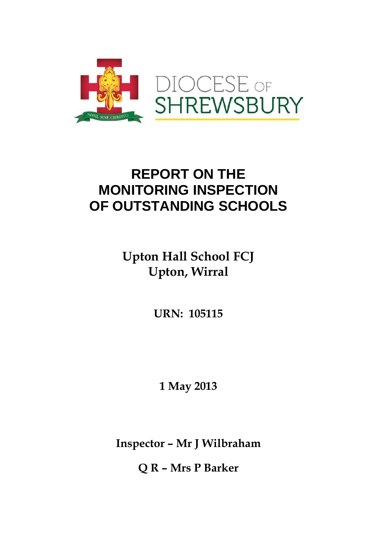

# **REPORT ON THE MONITORING INSPECTION OF OUTSTANDING SCHOOLS**

# **Upton Hall School FCJ Upton, Wirral**

**URN: 105115** 

**1 May 2013** 

**Inspector – Mr J Wilbraham** 

**Q R – Mrs P Barker**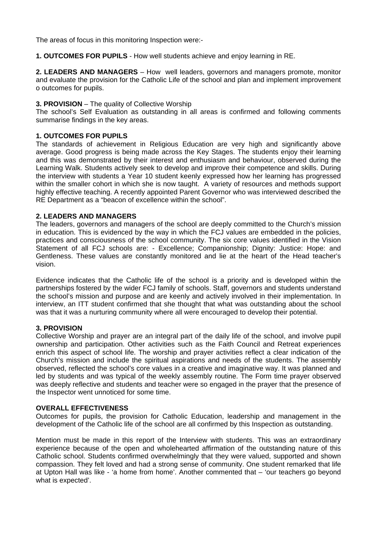The areas of focus in this monitoring Inspection were:-

**1. OUTCOMES FOR PUPILS** - How well students achieve and enjoy learning in RE.

**2. LEADERS AND MANAGERS** – How well leaders, governors and managers promote, monitor and evaluate the provision for the Catholic Life of the school and plan and implement improvement o outcomes for pupils.

### **3. PROVISION** – The quality of Collective Worship

The school's Self Evaluation as outstanding in all areas is confirmed and following comments summarise findings in the key areas.

## **1. OUTCOMES FOR PUPILS**

The standards of achievement in Religious Education are very high and significantly above average. Good progress is being made across the Key Stages. The students enjoy their learning and this was demonstrated by their interest and enthusiasm and behaviour, observed during the Learning Walk. Students actively seek to develop and improve their competence and skills. During the interview with students a Year 10 student keenly expressed how her learning has progressed within the smaller cohort in which she is now taught. A variety of resources and methods support highly effective teaching. A recently appointed Parent Governor who was interviewed described the RE Department as a "beacon of excellence within the school".

#### **2. LEADERS AND MANAGERS**

The leaders, governors and managers of the school are deeply committed to the Church's mission in education. This is evidenced by the way in which the FCJ values are embedded in the policies, practices and consciousness of the school community. The six core values identified in the Vision Statement of all FCJ schools are: - Excellence; Companionship; Dignity: Justice: Hope: and Gentleness. These values are constantly monitored and lie at the heart of the Head teacher's vision.

Evidence indicates that the Catholic life of the school is a priority and is developed within the partnerships fostered by the wider FCJ family of schools. Staff, governors and students understand the school's mission and purpose and are keenly and actively involved in their implementation. In interview, an ITT student confirmed that she thought that what was outstanding about the school was that it was a nurturing community where all were encouraged to develop their potential.

## **3. PROVISION**

Collective Worship and prayer are an integral part of the daily life of the school, and involve pupil ownership and participation. Other activities such as the Faith Council and Retreat experiences enrich this aspect of school life. The worship and prayer activities reflect a clear indication of the Church's mission and include the spiritual aspirations and needs of the students. The assembly observed, reflected the school's core values in a creative and imaginative way. It was planned and led by students and was typical of the weekly assembly routine. The Form time prayer observed was deeply reflective and students and teacher were so engaged in the prayer that the presence of the Inspector went unnoticed for some time.

#### **OVERALL EFFECTIVENESS**

Outcomes for pupils, the provision for Catholic Education, leadership and management in the development of the Catholic life of the school are all confirmed by this Inspection as outstanding.

Mention must be made in this report of the Interview with students. This was an extraordinary experience because of the open and wholehearted affirmation of the outstanding nature of this Catholic school. Students confirmed overwhelmingly that they were valued, supported and shown compassion. They felt loved and had a strong sense of community. One student remarked that life at Upton Hall was like - 'a home from home'. Another commented that – 'our teachers go beyond what is expected'.